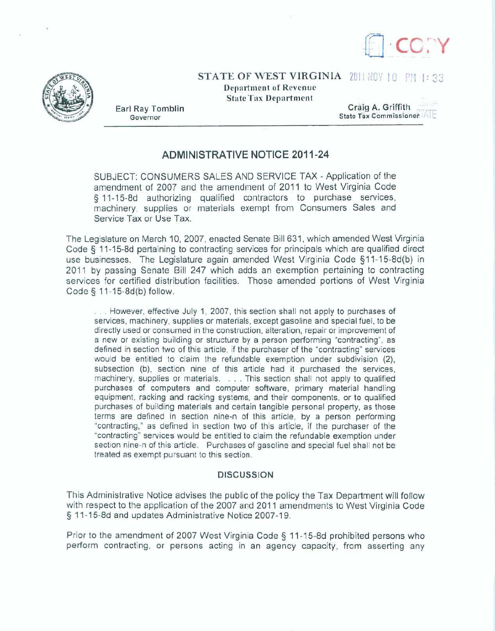



**STATE OF WEST VIRGINIA 2011 NOV 10 PM 1: 33** 

**Department of Revenue State Tax Department** 

**Earl Ray Tomblin**<br> **Earl Ray Tomblin**<br> **Craig A. Griffith. Craig A. Griffith. Commissioner** State Tax Commissioner ALE

## **ADMINISTRATIVE NOTICE 201 1-24**

SUBJECT: CONSUMERS SALES AND SERVICE TAX - Application of the amendment of 2007 and the amendment of **20'11** to West Virginia Code **5 11-15-8d** authorizing qualified contractors to purchase services, machinery, supplies or **materials** exempt **from Consumers** Sales and Service Tax or Use Tax.

The **Legislature** on **March** 10, **2007,** enacted Senate Bill 631, which **amended West Virginia Code 3 11-15-8d** pertaining to contracting services for principals which are qualified **direct**  use businesses. The Legislature again amended West Virginia Code **9** 1 **1** - 1 **5-8d(b)** in 2011 **by** passing Senate Bill **247** which adds an exemption pertaining to contracting **services** for certified distribution facilities. Those amended **podions** of **West Virginia**  Code **5 11-j5-8d(b)** follow.

. . . However, effective July **1,** 2007, this **section** shall not apply to **purchases** of **services, machinery, supplies** or **materials, except** gasoline and special fuel, to be directly used or consumed in the construction, **alteration,** repair or improvement of a new or existing building or structure by **a person performing** "contracting", **as defined** in **section** two of this article, if **the** purchaser of the "contracting" services would be entitted to claim the refundable exemption under subdivision **(Z),**  subsection (b), section **nine** of this article had it purchased the **services,**  machinery, supplies or materials. . . . This section shall not **apply** to **qualified purchases of computers and** computer **software, primarj** material handling equipment, racking and **racking systems, and their** components, or to **qualified**  purchases of building **materials** and certain tangible personal property, as those **terms** are **defined** in **section** nine-n of **this article,** by a person performing 'contracting," as defined in section two of this article, if the **purchaser** of the 'contracting" services would be entitled to claim **the refundable exemption under section** nine-n **of this** article. Purchases of gasoline **and** special fuel shall not be treated as **exempt** pursuant **to this** section.

## **DISCUSSION**

This Administrative Notice advises the public of the policy the Tax Department will **follow**  with **respect** to the application of the 2007 **and 201 1** amendments **to West** Virginia **Code 5** 1 I - **15-8d and updates Administrative** Notice **2007-1 9.** 

Prior to **the** amendment of 2007 West Virginia **Code 5 17-7 5-8d prohibited persons who perform** contracting, or persons acting in an agency capacity, from asserting any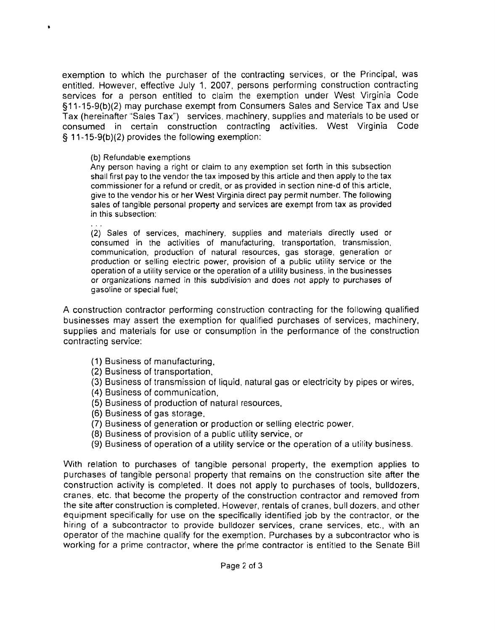exemption to which the purchaser of the contracting services, or the Principal, was entitled. However, effective July 1. 2007, persons performing construction contracting services for a person entitled to claim the exemption under West Virginia Code §11-15-9(b)(2) may purchase exempt from Consumers Sales and Service Tax and Use Tax (hereinafter "Sales Tax") services, machinery, supplies and materials to be used or consumed in certain construction contracting activities. West Virginia Code **9** 1 1-1 5-9(b)(2) provides the following exemption:

## (b) Refundable exemptions

 $\bullet$ 

Any person having a right or claim to any exemption set forth in this subsection shall first pay to the vendor the tax imposed by this article and then apply to the tax commissioner for a refund or credit, or as provided in section nine-d of this article, give to the vendor his or her West Virginia direct pay permit number. The following sales of tangible personal property and services are exempt from tax as provided in this subsection:

. . . **(2)** Sales of services, machinery, supplies and materials directly used or consumed in the activities of manufacturing, transportation, transmission, communication, production of natural resources, gas storage, generation or production or selling electric power, provision of a public utility service or the operation of a utility service or the operation of a utility business, in the businesses or organizations named in this subdivision and does not apply to purchases of gasoline or special fuel;

A construction contractor performing construction contracting for the following qualified businesses may assert the exemption for qualified purchases of services, machinery, supplies and materials for use or consumption in the performance of the construction contracting service:

- (1) Business of manufacturing,
- (2) Business of transportation,
- (3) Business of transmission of liquid, natural gas or electricity by pipes or wires,
- **(4)** Business of communication,
- (5) Business of production of natural resources,
- (6) Business of gas storage.
- (7) Business of generation or production or selling electric power,
- (8) Business of provision of a public utility service, or
- (9) Business of operation of a utility service or the operation of a utility business.

With relation to purchases of tangible personal property, the exemption applies to purchases of tangible personal property that remains on the construction site after the construction activity is completed. It does not apply to purchases of tools, bulldozers, cranes, etc. that become the property of the construction contractor and removed from the site after construction is completed. However, rentals of cranes, bull dozers, and other equipment specifically for use on the specifically identified job by the contractor, or the hiring of a subcontractor to provide bulldozer services, crane services, etc., with an operator of the machine qualify for the exemption. Purchases by a subcontractor who is working for a prime contractor, where the prime contractor is entitled to the Senate Bill